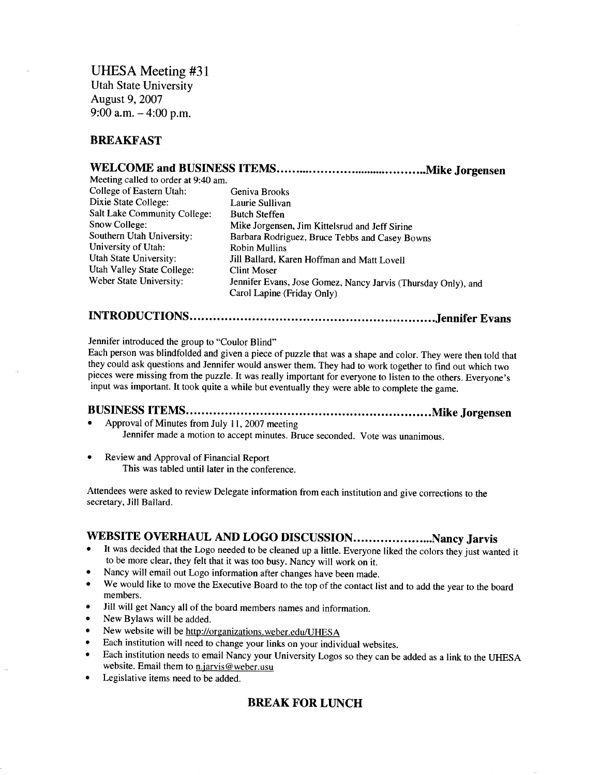UHESA Meeting #31 Utah State University August 9, 2007 9:00 a.m.  $-4:00$  p.m.

## **BREAKFAST**

## **WELCOME and BUSINESS ITEMS Mike Jorgensen**

| Meeting called to order at 9:40 am. |                                                                                             |  |
|-------------------------------------|---------------------------------------------------------------------------------------------|--|
| College of Eastern Utah:            | Geniva Brooks                                                                               |  |
| Dixie State College:                | Laurie Sullivan                                                                             |  |
| Salt Lake Community College:        | <b>Butch Steffen</b>                                                                        |  |
| Snow College:                       | Mike Jorgensen, Jim Kittelsrud and Jeff Sirine                                              |  |
| Southern Utah University:           | Barbara Rodriguez, Bruce Tebbs and Casey Bowns                                              |  |
| University of Utah:                 | <b>Robin Mullins</b>                                                                        |  |
| Utah State University:              | Jill Ballard, Karen Hoffman and Matt Lovell                                                 |  |
| Utah Valley State College:          | <b>Clint Moser</b>                                                                          |  |
| Weber State University:             | Jennifer Evans, Jose Gomez, Nancy Jarvis (Thursday Only), and<br>Carol Lapine (Friday Only) |  |

# **INTRODUCTIONS Jennifer Evans**

Jennifer introduced the group to "Coulor Blind"

Each person was blindfolded and given a piece of puzzle that was a shape and color. They were then told that they could ask questions and Jennifer would answer them. They had to work together to find out which two pieces were missing from the puzzle. It was really important for everyone to listen to the others. Everyone's input was important. It took quite a while but eventually they were able to complete the game.

### **BUSINESS ITEMS Mike Jorgensen** • Approval of Minutes from July 11, 2007 meeting

Jennifer made a motion to accept minutes. Bruce seconded. Vote was unanimous.

• Review and Approval of Financial Report This was tabled until later in the conference.

Attendees were asked to review Delegate information from each institution and give corrections to the secretary, Jill Ballard.

# WEBSITE OVERHAUL AND LOGO DISCUSSION........................Nancy Jarvis

- It was decided that the Logo needed to be cleaned up a little. Everyone liked the colors they just wanted it to be more clear, they felt that it was too busy. Nancy will work on it.
- Nancy will email out Logo information after changes have been made.
- We would like to move the Executive Board to the top of the contact list and to add the year to the board members.
- Jill will get Nancy all of the board members names and information.
- New Bylaws will be added.
- New website will be http://organizations.weber.edu/UHESA
- Each institution will need to change your links on your individual websites.
- Each institution needs to email Nancy your University Logos so they can be added as a link to the UHESA website. Email them to  $n$  jarvis@weber.usu
- Legislative items need to be added.

## **BREAK FOR LUNCH**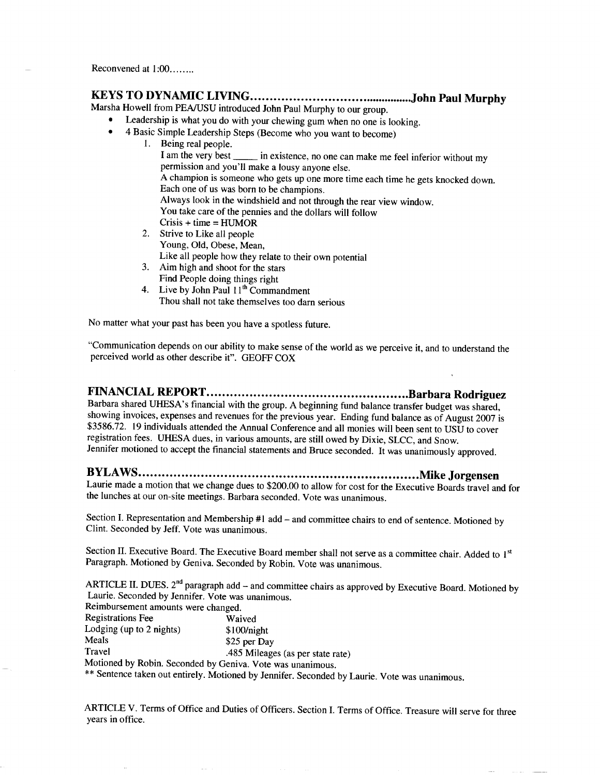# **KEYS TO DYNAMIC LIVING John Paul Murphy**

Marsha Howell from PEA/USU introduced John Paul Murphy to our group.

- Leadership is what you do with your chewing gum when no one is looking.
- 4 Basic Simple Leadership Steps (Become who you want to become)
	- 1. Being real people. I am the very best in existence, no one can make me feel inferior without my permission and you'll make a lousy anyone else. A champion is someone who gets up one more time each time he gets knocked down. Each one of us was born to be champions. Always look in the windshield and not through the rear view window. You take care of the pennies and the dollars will follow  $Crisis + time = HUMOR$
	- 2. Strive to Like all people Young, Old, Obese, Mean,
		- Like all people how they relate to their own potential
	- 3. Aim high and shoot for the stars Find People doing things right
	- 4. Live by John Paul  $11<sup>th</sup>$  Commandment Thou shall not take themselves too darn serious

No matter what your past has been you have a spotless future.

"Communication depends on our ability to make sense of the world as we perceive it, and to understand the perceived world as other describe it". GEOFF COX

# **FINANCIAL REPORT Barbara Rodriguez**

Barbara shared UHESA's financial with the group. A beginning fund balance transfer budget was shared, showing invoices, expenses and revenues for the previous year. Ending fund balance as of August 2007 is \$3586.72. 19 individuals attended the Annual Conference and all monies will been sent to USU to cover registration fees. UHESA dues, in various amounts, are still owed by Dixie, SLCC, and Snow. Jennifer motioned to accept the financial statements and Bruce seconded. It was unanimously approved.

# **BYLAWS Mike Jorgensen**

Laurie made a motion that we change dues to \$200.00 to allow for cost for the Executive Boards travel and for the lunches at our on-site meetings. Barbara seconded. Vote was unanimous.

Section I. Representation and Membership #1 add - and committee chairs to end of sentence. Motioned by Clint. Seconded by Jeff. Vote was unanimous.

Section II. Executive Board. The Executive Board member shall not serve as a committee chair. Added to 1<sup>st</sup> Paragraph. Motioned by Geniva. Seconded by Robin. Vote was unanimous.

ARTICLE II. DUES. 2<sup>nd</sup> paragraph add - and committee chairs as approved by Executive Board. Motioned by Laurie. Seconded by Jennifer. Vote was unanimous. Reimbursement amounts were changed.

| Refindursement amounts were changed.                                                                                                                                                                                                                                                                                |                                   |
|---------------------------------------------------------------------------------------------------------------------------------------------------------------------------------------------------------------------------------------------------------------------------------------------------------------------|-----------------------------------|
| <b>Registrations Fee</b>                                                                                                                                                                                                                                                                                            | Waived                            |
| Lodging (up to $2$ nights)                                                                                                                                                                                                                                                                                          | \$100/night                       |
| Meals                                                                                                                                                                                                                                                                                                               | \$25 per Day                      |
| Travel                                                                                                                                                                                                                                                                                                              | .485 Mileages (as per state rate) |
| Motioned by Robin. Seconded by Geniva. Vote was unanimous.                                                                                                                                                                                                                                                          |                                   |
| $\frac{1}{2}$ $\frac{1}{2}$ $\frac{1}{2}$ $\frac{1}{2}$ $\frac{1}{2}$ $\frac{1}{2}$ $\frac{1}{2}$ $\frac{1}{2}$ $\frac{1}{2}$ $\frac{1}{2}$ $\frac{1}{2}$ $\frac{1}{2}$ $\frac{1}{2}$ $\frac{1}{2}$ $\frac{1}{2}$ $\frac{1}{2}$ $\frac{1}{2}$ $\frac{1}{2}$ $\frac{1}{2}$ $\frac{1}{2}$ $\frac{1}{2}$ $\frac{1}{2}$ |                                   |

\*\* Sentence taken out entirely. Motioned by Jennifer. Seconded by Laurie. Vote was unanimous.

ARTICLE V. Terms of Office and Duties of Officers. Section I. Terms of Office. Treasure will serve for three years in office.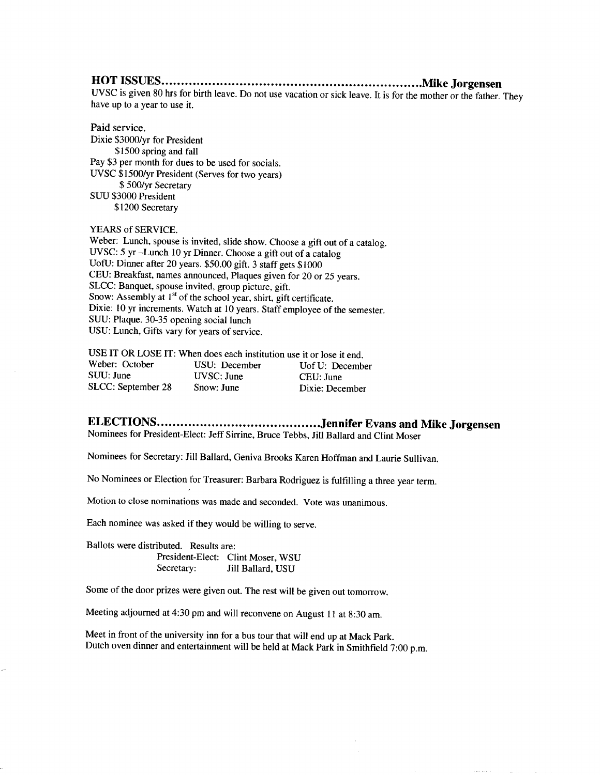## **HOT ISSUES Mike Jorgensen**

UVSC is given 80 hrs for birth leave. Do not use vacation or sick leave. It is for the mother or the father. They have up to a year to use it.

Paid service.

Dixie \$3000/yr for President \$1500 spring and fall Pay \$3 per month for dues to be used for socials. UVSC \$1500/yr President (Serves for two years) \$ 500/yr Secretary SUU \$3000 President \$1200 Secretary

#### YEARS of SERVICE.

Weber: Lunch, spouse is invited, slide show. Choose a gift out of a catalog. UVSC: 5 yr -Lunch 10 yr Dinner. Choose a gift out of a catalog UofU: Dinner after 20 years. \$50.00 gift. 3 staff gets \$1000 CEU: Breakfast, names announced, Plaques given for 20 or 25 years. SLCC: Banquet, spouse invited, group picture, gift. Snow: Assembly at 1<sup>st</sup> of the school year, shirt, gift certificate. Dixie: 10 yr increments. Watch at 10 years. Staff employee of the semester. SUU: Plaque. 30-35 opening social lunch USU: Lunch, Gifts vary for years of service.

USE IT OR LOSE IT: When does each institution use it or lose it end.

| Weber: October     | USU: December | Uof U: December |
|--------------------|---------------|-----------------|
| SUU: June          | UVSC: June    | CEU: June       |
| SLCC: September 28 | Snow: June    | Dixie: December |

### **ELECTIONS Jennifer Evans and Mike Jorgensen** Nominees for President-Elect: Jeff Sirrine, Bruce Tebbs, Jill Ballard and Clint Moser

Nominees for Secretary: Jill Ballard, Geniva Brooks Karen Hoffman and Laurie Sullivan.

No Nominees or Election for Treasurer: Barbara Rodriguez is fulfilling a three year term.

Motion to close nominations was made and seconded. Vote was unanimous.

Each nominee was asked if they would be willing to serve.

Ballots were distributed. Results are: President-Elect: Clint Moser, WSU Secretary: **Jill Ballard, USU** 

Some of the door prizes were given out. The rest will be given out tomorrow.

Meeting adjourned at 4:30 pm and will reconvene on August 11 at 8:30 am.

Meet in front of the university inn for a bus tour that will end up at Mack Park. Dutch oven dinner and entertainment will be held at Mack Park in Smithfield 7:00 p.m.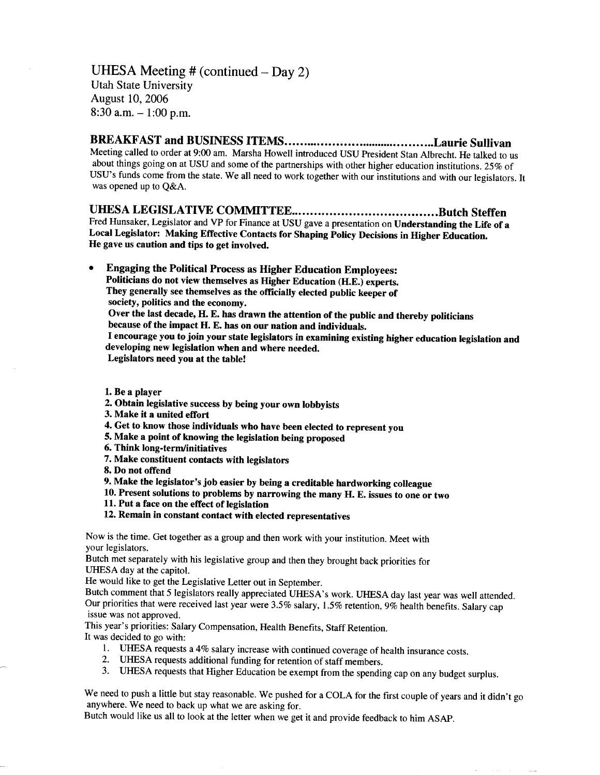UHESA Meeting  $#$  (continued  $-$  Day 2) Utah State University August 10, 2006 8:30 a.m.  $-1:00$  p.m.

## **BREAKFAST and BUSINESS ITEMS Laurie Sullivan**

Meeting called to order at 9:00 am. Marsha Howell introduced USU President Stan Albrecht. He talked to us about things going on at USU and some of the partnerships with other higher education institutions. 25% of USU's funds come from the state. We all need to work together with our institutions and with our legislators. It was opened up to Q&A.

## **UHESA LEGISLATIVE COMMITTEE Butch Steffen**

Fred Hunsaker, Legislator and VP for Finance at USU gave a presentation on **Understanding the Life of a Local Legislator: Making Effective Contacts for Shaping Policy Decisions in Higher Education. He gave us caution and tips to get involved.**

**• Engaging the Political Process as Higher Education Employees: Politicians do not view themselves as Higher Education** (H.E.) **experts. They generally see themselves as the officially elected public keeper of society, politics and the economy. Over the last decade, H. E. has drawn the attention of the public and thereby politicians**

**because of the impact H. E. has on our nation and individuals.**

**I encourage you to join your state legislators in examining existing higher education legislation and developing new legislation when and where needed.**

**Legislators need you at the table!**

**1. Be a player**

- **2. Obtain legislative success by being your own lobbyists**
- **3. Make it a united effort**
- **4. Get to know those individuals who have been elected to represent you**
- **5. Make a point of knowing the legislation being proposed**
- **6. Think long-term/initiatives**
- **7. Make constituent contacts with legislators**
- **8. Do not offend**
- **9. Make the legislator's job easier by being a creditable hardworking colleague**
- **10. Present solutions to problems by narrowing the many H. E. issues to one or two**
- **11. Put a face on the effect of legislation**
- **12. Remain in constant contact with elected representatives**

Now is the time. Get together as a group and then work with your institution. Meet with your legislators.

Butch met separately with his legislative group and then they brought back priorities for UHESA day at the capitol.

He would like to get the Legislative Letter out in September.

Butch comment that 5 legislators really appreciated UHESA's work. UHESA day last year was well attended. Our priorities that were received last year were 3.5% salary, 1.5% retention, 9% health benefits. Salary cap issue was not approved.

This year's priorities: Salary Compensation, Health Benefits, Staff Retention.

It was decided to go with:

- 1. UHESA requests a 4% salary increase with continued coverage of health insurance costs.
- 2. UHESA requests additional funding for retention of staff members.
- 3. UHESA requests that Higher Education be exempt from the spending cap on any budget surplus.

We need to push a little but stay reasonable. We pushed for a COLA for the first couple of years and it didn't go anywhere. We need to back up what we are asking for.

Butch would like us all to look at the letter when we get it and provide feedback to him ASAP.